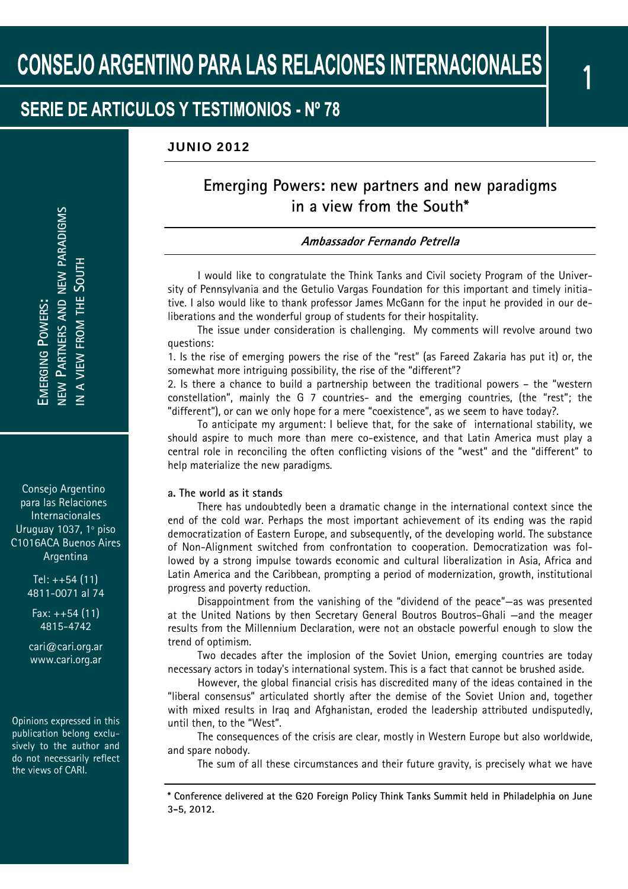## SERIE DE ARTICULOS Y TESTIMONIOS - Nº 78

#### JUNIO 2012

### **Emerging Powers: new partners and new paradigms in a view from the South\***

#### **Ambassador Fernando Petrella**

I would like to congratulate the Think Tanks and Civil society Program of the University of Pennsylvania and the Getulio Vargas Foundation for this important and timely initiative. I also would like to thank professor James McGann for the input he provided in our deliberations and the wonderful group of students for their hospitality.

 The issue under consideration is challenging. My comments will revolve around two questions:

1. Is the rise of emerging powers the rise of the "rest" (as Fareed Zakaria has put it) or, the somewhat more intriguing possibility, the rise of the "different"?

2. Is there a chance to build a partnership between the traditional powers – the "western constellation", mainly the G 7 countries- and the emerging countries, (the "rest"; the "different"), or can we only hope for a mere "coexistence", as we seem to have today?.

 To anticipate my argument: I believe that, for the sake of international stability, we should aspire to much more than mere co-existence, and that Latin America must play a central role in reconciling the often conflicting visions of the "west" and the "different" to help materialize the new paradigms.

#### **a. The world as it stands**

 There has undoubtedly been a dramatic change in the international context since the end of the cold war. Perhaps the most important achievement of its ending was the rapid democratization of Eastern Europe, and subsequently, of the developing world. The substance of Non-Alignment switched from confrontation to cooperation. Democratization was followed by a strong impulse towards economic and cultural liberalization in Asia, Africa and Latin America and the Caribbean, prompting a period of modernization, growth, institutional progress and poverty reduction.

 Disappointment from the vanishing of the "dividend of the peace"—as was presented at the United Nations by then Secretary General Boutros Boutros–Ghali —and the meager results from the Millennium Declaration, were not an obstacle powerful enough to slow the trend of optimism.

 Two decades after the implosion of the Soviet Union, emerging countries are today necessary actors in today's international system. This is a fact that cannot be brushed aside.

 However, the global financial crisis has discredited many of the ideas contained in the "liberal consensus" articulated shortly after the demise of the Soviet Union and, together with mixed results in Iraq and Afghanistan, eroded the leadership attributed undisputedly, until then, to the "West".

 The consequences of the crisis are clear, mostly in Western Europe but also worldwide, and spare nobody.

The sum of all these circumstances and their future gravity, is precisely what we have

**\* Conference delivered at the G20 Foreign Policy Think Tanks Summit held in Philadelphia on June 3-5, 2012.** 

**JEW PARTNERS AND NEW PARADIGMS NEW PARTNERS AND NEW PARADIGMS VIEW FROM THE SOUTH** VIEW FROM THE SOUTH **EMERGING POWERS:**  EMERGING POWERS: ।<br>द 2

Consejo Argentino para las Relaciones Internacionales Uruguay 1037, 1º piso C1016ACA Buenos Aires Argentina

> Tel: ++54 (11) 4811-0071 al 74

Fax: ++54 (11) 4815-4742

cari@cari.org.ar www.cari.org.ar

Opinions expressed in this publication belong exclusively to the author and do not necessarily reflect the views of CARI.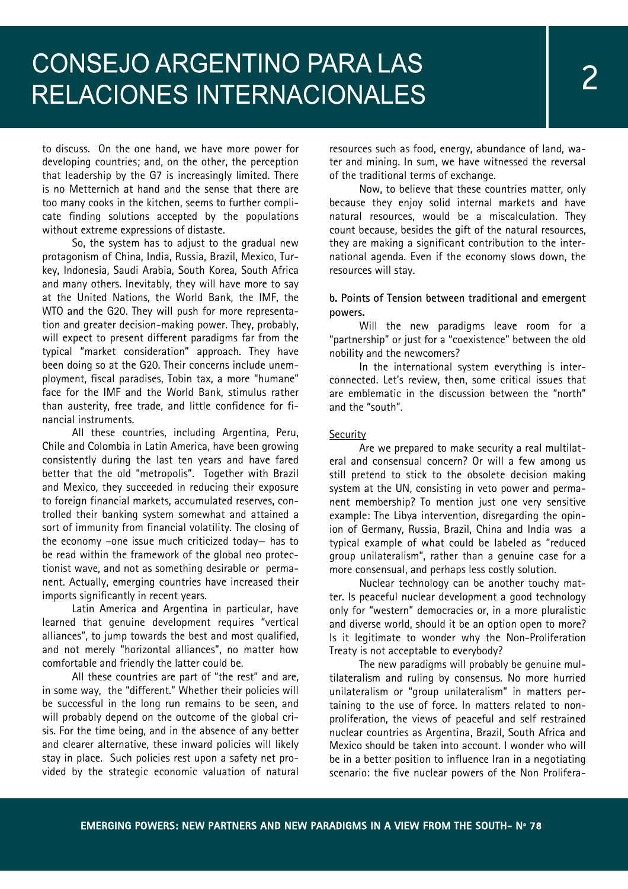to discuss. On the one hand, we have more power for developing countries; and, on the other, the perception that leadership by the G7 is increasingly limited. There is no Metternich at hand and the sense that there are too many cooks in the kitchen, seems to further complicate finding solutions accepted by the populations without extreme expressions of distaste.

**CONSEJO ARGENTINO PARA LAS** 

**RELACIONES INTERNACIONALES** 

 So, the system has to adjust to the gradual new protagonism of China, India, Russia, Brazil, Mexico, Turkey, Indonesia, Saudi Arabia, South Korea, South Africa and many others. Inevitably, they will have more to say at the United Nations, the World Bank, the IMF, the WTO and the G20. They will push for more representation and greater decision-making power. They, probably, will expect to present different paradigms far from the typical "market consideration" approach. They have been doing so at the G20. Their concerns include unemployment, fiscal paradises, Tobin tax, a more "humane" face for the IMF and the World Bank, stimulus rather than austerity, free trade, and little confidence for financial instruments.

 All these countries, including Argentina, Peru, Chile and Colombia in Latin America, have been growing consistently during the last ten years and have fared better that the old "metropolis". Together with Brazil and Mexico, they succeeded in reducing their exposure to foreign financial markets, accumulated reserves, controlled their banking system somewhat and attained a sort of immunity from financial volatility. The closing of the economy –one issue much criticized today— has to be read within the framework of the global neo protectionist wave, and not as something desirable or permanent. Actually, emerging countries have increased their imports significantly in recent years.

 Latin America and Argentina in particular, have learned that genuine development requires "vertical alliances", to jump towards the best and most qualified, and not merely "horizontal alliances", no matter how comfortable and friendly the latter could be.

 All these countries are part of "the rest" and are, in some way, the "different." Whether their policies will be successful in the long run remains to be seen, and will probably depend on the outcome of the global crisis. For the time being, and in the absence of any better and clearer alternative, these inward policies will likely stay in place. Such policies rest upon a safety net provided by the strategic economic valuation of natural

resources such as food, energy, abundance of land, water and mining. In sum, we have witnessed the reversal of the traditional terms of exchange.

 Now, to believe that these countries matter, only because they enjoy solid internal markets and have natural resources, would be a miscalculation. They count because, besides the gift of the natural resources, they are making a significant contribution to the international agenda. Even if the economy slows down, the resources will stay.

#### **b. Points of Tension between traditional and emergent powers.**

 Will the new paradigms leave room for a "partnership" or just for a "coexistence" between the old nobility and the newcomers?

 In the international system everything is interconnected. Let's review, then, some critical issues that are emblematic in the discussion between the "north" and the "south".

#### **Security**

 Are we prepared to make security a real multilateral and consensual concern? Or will a few among us still pretend to stick to the obsolete decision making system at the UN, consisting in veto power and permanent membership? To mention just one very sensitive example: The Libya intervention, disregarding the opinion of Germany, Russia, Brazil, China and India was a typical example of what could be labeled as "reduced group unilateralism", rather than a genuine case for a more consensual, and perhaps less costly solution.

 Nuclear technology can be another touchy matter. Is peaceful nuclear development a good technology only for "western" democracies or, in a more pluralistic and diverse world, should it be an option open to more? Is it legitimate to wonder why the Non-Proliferation Treaty is not acceptable to everybody?

 The new paradigms will probably be genuine multilateralism and ruling by consensus. No more hurried unilateralism or "group unilateralism" in matters pertaining to the use of force. In matters related to nonproliferation, the views of peaceful and self restrained nuclear countries as Argentina, Brazil, South Africa and Mexico should be taken into account. I wonder who will be in a better position to influence Iran in a negotiating scenario: the five nuclear powers of the Non Prolifera-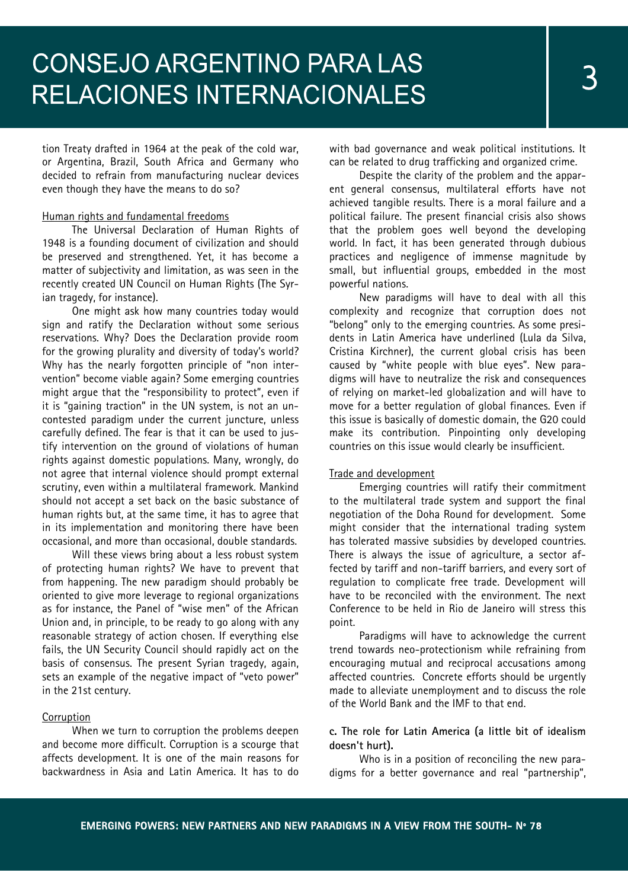tion Treaty drafted in 1964 at the peak of the cold war, or Argentina, Brazil, South Africa and Germany who decided to refrain from manufacturing nuclear devices even though they have the means to do so?

#### Human rights and fundamental freedoms

 The Universal Declaration of Human Rights of 1948 is a founding document of civilization and should be preserved and strengthened. Yet, it has become a matter of subjectivity and limitation, as was seen in the recently created UN Council on Human Rights (The Syrian tragedy, for instance).

 One might ask how many countries today would sign and ratify the Declaration without some serious reservations. Why? Does the Declaration provide room for the growing plurality and diversity of today's world? Why has the nearly forgotten principle of "non intervention" become viable again? Some emerging countries might argue that the "responsibility to protect", even if it is "gaining traction" in the UN system, is not an uncontested paradigm under the current juncture, unless carefully defined. The fear is that it can be used to justify intervention on the ground of violations of human rights against domestic populations. Many, wrongly, do not agree that internal violence should prompt external scrutiny, even within a multilateral framework. Mankind should not accept a set back on the basic substance of human rights but, at the same time, it has to agree that in its implementation and monitoring there have been occasional, and more than occasional, double standards.

Will these views bring about a less robust system of protecting human rights? We have to prevent that from happening. The new paradigm should probably be oriented to give more leverage to regional organizations as for instance, the Panel of "wise men" of the African Union and, in principle, to be ready to go along with any reasonable strategy of action chosen. If everything else fails, the UN Security Council should rapidly act on the basis of consensus. The present Syrian tragedy, again, sets an example of the negative impact of "veto power" in the 21st century.

#### Corruption

 When we turn to corruption the problems deepen and become more difficult. Corruption is a scourge that affects development. It is one of the main reasons for backwardness in Asia and Latin America. It has to do

with bad governance and weak political institutions. It can be related to drug trafficking and organized crime.

 Despite the clarity of the problem and the apparent general consensus, multilateral efforts have not achieved tangible results. There is a moral failure and a political failure. The present financial crisis also shows that the problem goes well beyond the developing world. In fact, it has been generated through dubious practices and negligence of immense magnitude by small, but influential groups, embedded in the most powerful nations.

 New paradigms will have to deal with all this complexity and recognize that corruption does not "belong" only to the emerging countries. As some presidents in Latin America have underlined (Lula da Silva, Cristina Kirchner), the current global crisis has been caused by "white people with blue eyes". New paradigms will have to neutralize the risk and consequences of relying on market-led globalization and will have to move for a better regulation of global finances. Even if this issue is basically of domestic domain, the G20 could make its contribution. Pinpointing only developing countries on this issue would clearly be insufficient.

#### Trade and development

 Emerging countries will ratify their commitment to the multilateral trade system and support the final negotiation of the Doha Round for development. Some might consider that the international trading system has tolerated massive subsidies by developed countries. There is always the issue of agriculture, a sector affected by tariff and non-tariff barriers, and every sort of regulation to complicate free trade. Development will have to be reconciled with the environment. The next Conference to be held in Rio de Janeiro will stress this point.

 Paradigms will have to acknowledge the current trend towards neo-protectionism while refraining from encouraging mutual and reciprocal accusations among affected countries. Concrete efforts should be urgently made to alleviate unemployment and to discuss the role of the World Bank and the IMF to that end.

#### **c. The role for Latin America (a little bit of idealism doesn't hurt).**

 Who is in a position of reconciling the new paradigms for a better governance and real "partnership",